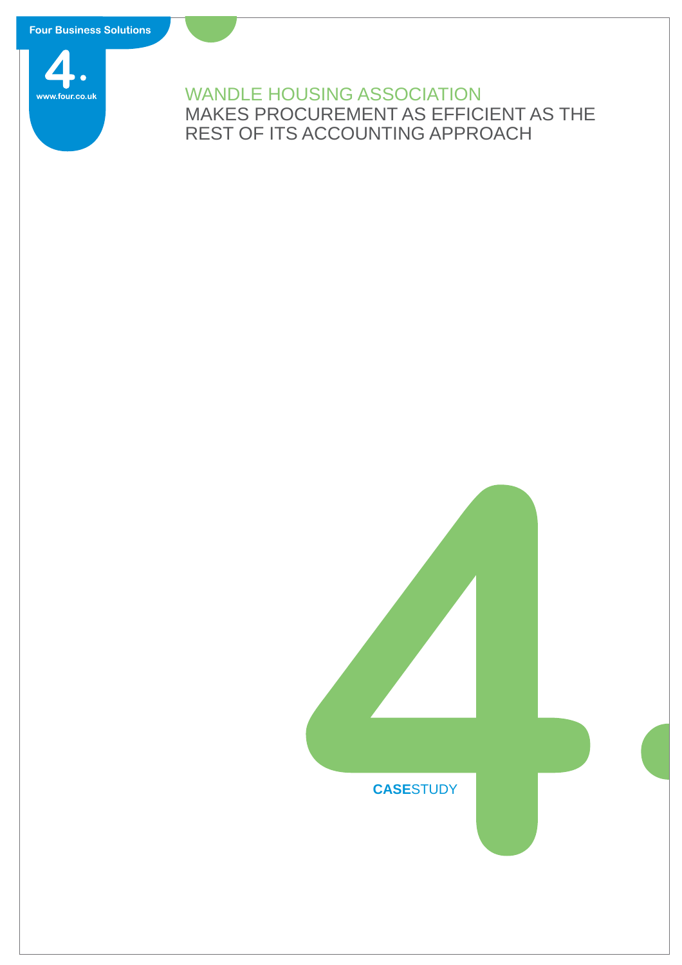**Four Business Solutions** 



## WANDLE HOUSING ASSOCIATION MAKES PROCUREMENT AS EFFICIENT AS THE REST OF ITS ACCOUNTING APPROACH

# **CASE**STUDY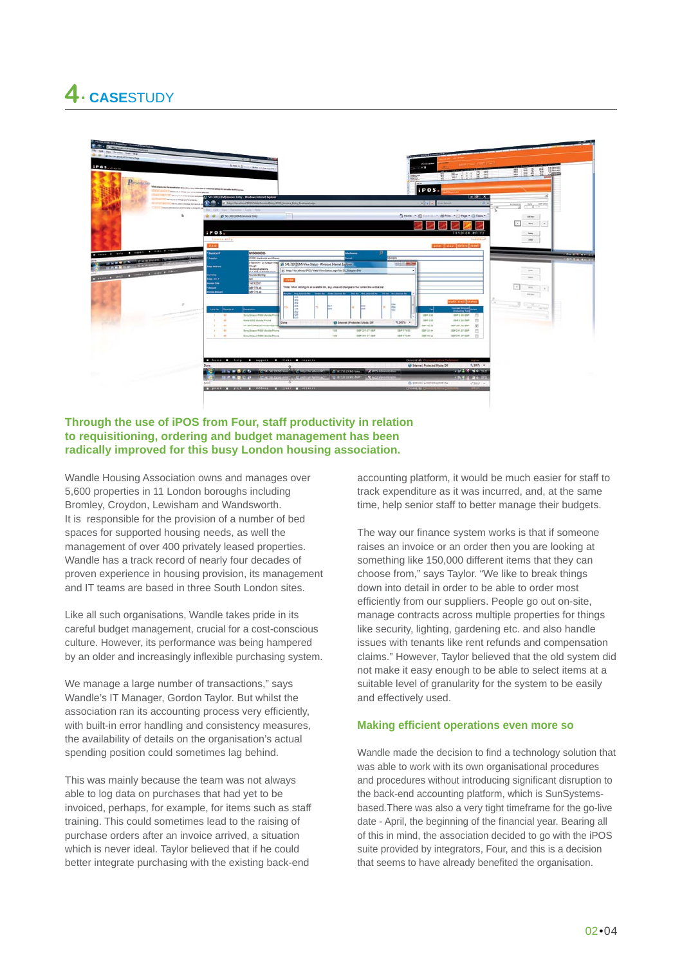# **4. CASESTUDY**



### **Through the use of iPOS from Four, staff productivity in relation to requisitioning, ordering and budget management has been radically improved for this busy London housing association.**

Wandle Housing Association owns and manages over 5,600 properties in 11 London boroughs including Bromley, Croydon, Lewisham and Wandsworth. It is responsible for the provision of a number of bed spaces for supported housing needs, as well the management of over 400 privately leased properties. Wandle has a track record of nearly four decades of proven experience in housing provision, its management and IT teams are based in three South London sites.

Like all such organisations, Wandle takes pride in its careful budget management, crucial for a cost-conscious culture. However, its performance was being hampered by an older and increasingly inflexible purchasing system.

We manage a large number of transactions," says Wandle's IT Manager, Gordon Taylor. But whilst the association ran its accounting process very efficiently, with built-in error handling and consistency measures, the availability of details on the organisation's actual spending position could sometimes lag behind.

This was mainly because the team was not always able to log data on purchases that had yet to be invoiced, perhaps, for example, for items such as staff training. This could sometimes lead to the raising of purchase orders after an invoice arrived, a situation which is never ideal. Taylor believed that if he could better integrate purchasing with the existing back-end

accounting platform, it would be much easier for staff to track expenditure as it was incurred, and, at the same time, help senior staff to better manage their budgets.

The way our finance system works is that if someone raises an invoice or an order then you are looking at something like 150,000 different items that they can choose from," says Taylor. "We like to break things down into detail in order to be able to order most efficiently from our suppliers. People go out on-site, manage contracts across multiple properties for things like security, lighting, gardening etc. and also handle issues with tenants like rent refunds and compensation claims." However, Taylor believed that the old system did not make it easy enough to be able to select items at a suitable level of granularity for the system to be easily and effectively used.

### **Making effi cient operations even more so**

Wandle made the decision to find a technology solution that was able to work with its own organisational procedures and procedures without introducing significant disruption to the back-end accounting platform, which is SunSystemsbased.There was also a very tight timeframe for the go-live date - April, the beginning of the financial year. Bearing all of this in mind, the association decided to go with the iPOS suite provided by integrators, Four, and this is a decision that seems to have already benefited the organisation.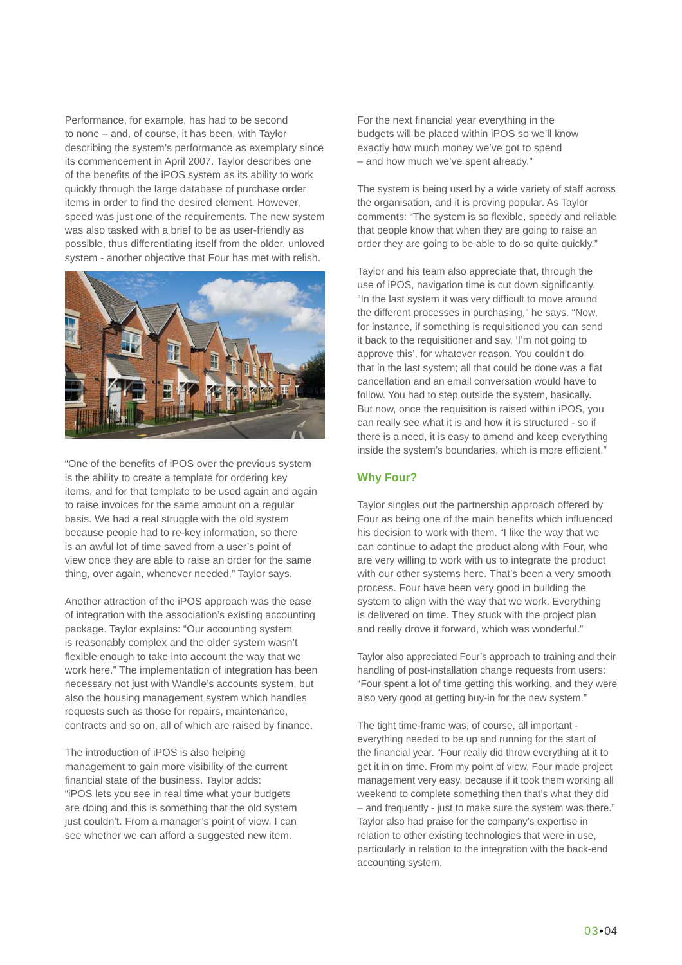Performance, for example, has had to be second to none – and, of course, it has been, with Taylor describing the system's performance as exemplary since its commencement in April 2007. Taylor describes one of the benefits of the iPOS system as its ability to work quickly through the large database of purchase order items in order to find the desired element. However, speed was just one of the requirements. The new system was also tasked with a brief to be as user-friendly as possible, thus differentiating itself from the older, unloved system - another objective that Four has met with relish.



"One of the benefits of iPOS over the previous system is the ability to create a template for ordering key items, and for that template to be used again and again to raise invoices for the same amount on a regular basis. We had a real struggle with the old system because people had to re-key information, so there is an awful lot of time saved from a user's point of view once they are able to raise an order for the same thing, over again, whenever needed," Taylor says.

Another attraction of the iPOS approach was the ease of integration with the association's existing accounting package. Taylor explains: "Our accounting system is reasonably complex and the older system wasn't flexible enough to take into account the way that we work here." The implementation of integration has been necessary not just with Wandle's accounts system, but also the housing management system which handles requests such as those for repairs, maintenance, contracts and so on, all of which are raised by finance.

The introduction of iPOS is also helping management to gain more visibility of the current financial state of the business. Taylor adds: "iPOS lets you see in real time what your budgets are doing and this is something that the old system just couldn't. From a manager's point of view, I can see whether we can afford a suggested new item.

For the next financial year everything in the budgets will be placed within iPOS so we'll know exactly how much money we've got to spend – and how much we've spent already."

The system is being used by a wide variety of staff across the organisation, and it is proving popular. As Taylor comments: "The system is so flexible, speedy and reliable that people know that when they are going to raise an order they are going to be able to do so quite quickly."

Taylor and his team also appreciate that, through the use of iPOS, navigation time is cut down significantly. "In the last system it was very difficult to move around the different processes in purchasing," he says. "Now, for instance, if something is requisitioned you can send it back to the requisitioner and say, 'I'm not going to approve this', for whatever reason. You couldn't do that in the last system; all that could be done was a flat cancellation and an email conversation would have to follow. You had to step outside the system, basically. But now, once the requisition is raised within iPOS, you can really see what it is and how it is structured - so if there is a need, it is easy to amend and keep everything inside the system's boundaries, which is more efficient."

### **Why Four?**

Taylor singles out the partnership approach offered by Four as being one of the main benefits which influenced his decision to work with them. "I like the way that we can continue to adapt the product along with Four, who are very willing to work with us to integrate the product with our other systems here. That's been a very smooth process. Four have been very good in building the system to align with the way that we work. Everything is delivered on time. They stuck with the project plan and really drove it forward, which was wonderful."

Taylor also appreciated Four's approach to training and their handling of post-installation change requests from users: "Four spent a lot of time getting this working, and they were also very good at getting buy-in for the new system."

The tight time-frame was, of course, all important everything needed to be up and running for the start of the financial year. "Four really did throw everything at it to get it in on time. From my point of view, Four made project management very easy, because if it took them working all weekend to complete something then that's what they did – and frequently - just to make sure the system was there." Taylor also had praise for the company's expertise in relation to other existing technologies that were in use, particularly in relation to the integration with the back-end accounting system.